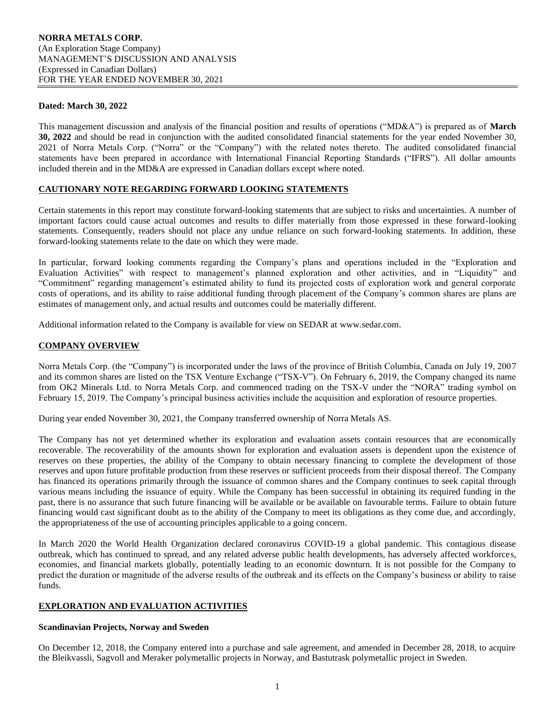### **Dated: March 30, 2022**

This management discussion and analysis of the financial position and results of operations ("MD&A") is prepared as of **March 30, 2022** and should be read in conjunction with the audited consolidated financial statements for the year ended November 30, 2021 of Norra Metals Corp. ("Norra" or the "Company") with the related notes thereto. The audited consolidated financial statements have been prepared in accordance with International Financial Reporting Standards ("IFRS"). All dollar amounts included therein and in the MD&A are expressed in Canadian dollars except where noted.

## **CAUTIONARY NOTE REGARDING FORWARD LOOKING STATEMENTS**

Certain statements in this report may constitute forward-looking statements that are subject to risks and uncertainties. A number of important factors could cause actual outcomes and results to differ materially from those expressed in these forward-looking statements. Consequently, readers should not place any undue reliance on such forward-looking statements. In addition, these forward-looking statements relate to the date on which they were made.

In particular, forward looking comments regarding the Company's plans and operations included in the "Exploration and Evaluation Activities" with respect to management's planned exploration and other activities, and in "Liquidity" and "Commitment" regarding management's estimated ability to fund its projected costs of exploration work and general corporate costs of operations, and its ability to raise additional funding through placement of the Company's common shares are plans are estimates of management only, and actual results and outcomes could be materially different.

Additional information related to the Company is available for view on SEDAR at www.sedar.com.

## **COMPANY OVERVIEW**

Norra Metals Corp. (the "Company") is incorporated under the laws of the province of British Columbia, Canada on July 19, 2007 and its common shares are listed on the TSX Venture Exchange ("TSX-V"). On February 6, 2019, the Company changed its name from OK2 Minerals Ltd. to Norra Metals Corp. and commenced trading on the TSX-V under the "NORA" trading symbol on February 15, 2019. The Company's principal business activities include the acquisition and exploration of resource properties.

During year ended November 30, 2021, the Company transferred ownership of Norra Metals AS.

The Company has not yet determined whether its exploration and evaluation assets contain resources that are economically recoverable. The recoverability of the amounts shown for exploration and evaluation assets is dependent upon the existence of reserves on these properties, the ability of the Company to obtain necessary financing to complete the development of those reserves and upon future profitable production from these reserves or sufficient proceeds from their disposal thereof. The Company has financed its operations primarily through the issuance of common shares and the Company continues to seek capital through various means including the issuance of equity. While the Company has been successful in obtaining its required funding in the past, there is no assurance that such future financing will be available or be available on favourable terms. Failure to obtain future financing would cast significant doubt as to the ability of the Company to meet its obligations as they come due, and accordingly, the appropriateness of the use of accounting principles applicable to a going concern.

In March 2020 the World Health Organization declared coronavirus COVID-19 a global pandemic. This contagious disease outbreak, which has continued to spread, and any related adverse public health developments, has adversely affected workforces, economies, and financial markets globally, potentially leading to an economic downturn. It is not possible for the Company to predict the duration or magnitude of the adverse results of the outbreak and its effects on the Company's business or ability to raise funds.

## **EXPLORATION AND EVALUATION ACTIVITIES**

## **Scandinavian Projects, Norway and Sweden**

On December 12, 2018, the Company entered into a purchase and sale agreement, and amended in December 28, 2018, to acquire the Bleikvassli, Sagvoll and Meraker polymetallic projects in Norway, and Bastutrask polymetallic project in Sweden.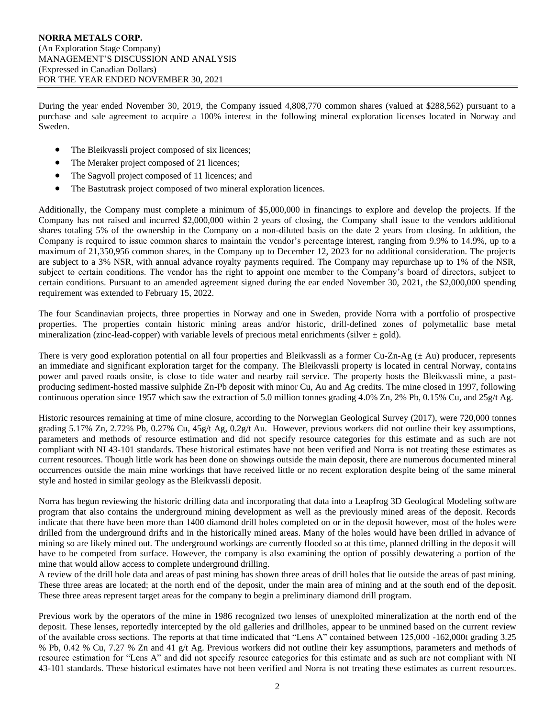During the year ended November 30, 2019, the Company issued 4,808,770 common shares (valued at \$288,562) pursuant to a purchase and sale agreement to acquire a 100% interest in the following mineral exploration licenses located in Norway and Sweden.

- The Bleikvassli project composed of six licences;
- The Meraker project composed of 21 licences;
- The Sagvoll project composed of 11 licences; and
- The Bastutrask project composed of two mineral exploration licences.

Additionally, the Company must complete a minimum of \$5,000,000 in financings to explore and develop the projects. If the Company has not raised and incurred \$2,000,000 within 2 years of closing, the Company shall issue to the vendors additional shares totaling 5% of the ownership in the Company on a non-diluted basis on the date 2 years from closing. In addition, the Company is required to issue common shares to maintain the vendor's percentage interest, ranging from 9.9% to 14.9%, up to a maximum of 21,350,956 common shares, in the Company up to December 12, 2023 for no additional consideration. The projects are subject to a 3% NSR, with annual advance royalty payments required. The Company may repurchase up to 1% of the NSR, subject to certain conditions. The vendor has the right to appoint one member to the Company's board of directors, subject to certain conditions. Pursuant to an amended agreement signed during the ear ended November 30, 2021, the \$2,000,000 spending requirement was extended to February 15, 2022.

The four Scandinavian projects, three properties in Norway and one in Sweden, provide Norra with a portfolio of prospective properties. The properties contain historic mining areas and/or historic, drill-defined zones of polymetallic base metal mineralization (zinc-lead-copper) with variable levels of precious metal enrichments (silver  $\pm$  gold).

There is very good exploration potential on all four properties and Bleikvassli as a former Cu-Zn-Ag  $(\pm$  Au) producer, represents an immediate and significant exploration target for the company. The Bleikvassli property is located in central Norway, contains power and paved roads onsite, is close to tide water and nearby rail service. The property hosts the Bleikvassli mine, a pastproducing sediment-hosted massive sulphide Zn-Pb deposit with minor Cu, Au and Ag credits. The mine closed in 1997, following continuous operation since 1957 which saw the extraction of 5.0 million tonnes grading 4.0% Zn, 2% Pb, 0.15% Cu, and 25g/t Ag.

Historic resources remaining at time of mine closure, according to the Norwegian Geological Survey (2017), were 720,000 tonnes grading 5.17% Zn, 2.72% Pb, 0.27% Cu, 45g/t Ag, 0.2g/t Au. However, previous workers did not outline their key assumptions, parameters and methods of resource estimation and did not specify resource categories for this estimate and as such are not compliant with NI 43-101 standards. These historical estimates have not been verified and Norra is not treating these estimates as current resources. Though little work has been done on showings outside the main deposit, there are numerous documented mineral occurrences outside the main mine workings that have received little or no recent exploration despite being of the same mineral style and hosted in similar geology as the Bleikvassli deposit.

Norra has begun reviewing the historic drilling data and incorporating that data into a Leapfrog 3D Geological Modeling software program that also contains the underground mining development as well as the previously mined areas of the deposit. Records indicate that there have been more than 1400 diamond drill holes completed on or in the deposit however, most of the holes were drilled from the underground drifts and in the historically mined areas. Many of the holes would have been drilled in advance of mining so are likely mined out. The underground workings are currently flooded so at this time, planned drilling in the deposit will have to be competed from surface. However, the company is also examining the option of possibly dewatering a portion of the mine that would allow access to complete underground drilling.

A review of the drill hole data and areas of past mining has shown three areas of drill holes that lie outside the areas of past mining. These three areas are located; at the north end of the deposit, under the main area of mining and at the south end of the deposit. These three areas represent target areas for the company to begin a preliminary diamond drill program.

Previous work by the operators of the mine in 1986 recognized two lenses of unexploited mineralization at the north end of the deposit. These lenses, reportedly intercepted by the old galleries and drillholes, appear to be unmined based on the current review of the available cross sections. The reports at that time indicated that "Lens A" contained between 125,000 -162,000t grading 3.25 % Pb, 0.42 % Cu, 7.27 % Zn and 41 g/t Ag. Previous workers did not outline their key assumptions, parameters and methods of resource estimation for "Lens A" and did not specify resource categories for this estimate and as such are not compliant with NI 43-101 standards. These historical estimates have not been verified and Norra is not treating these estimates as current resources.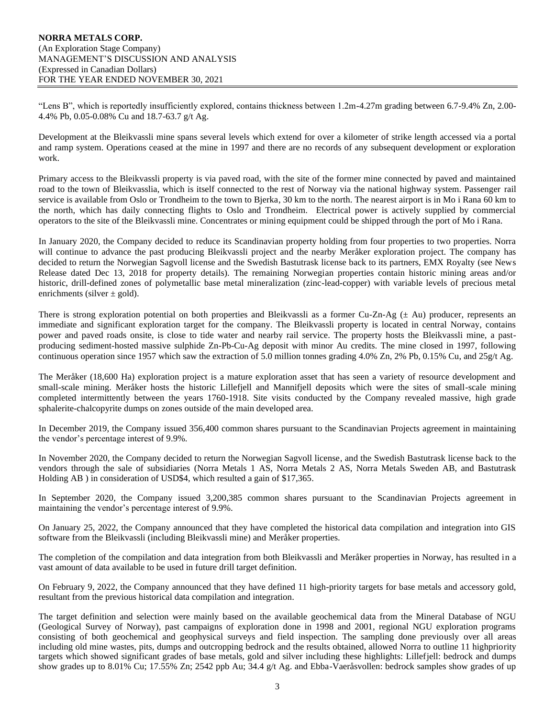"Lens B", which is reportedly insufficiently explored, contains thickness between 1.2m-4.27m grading between 6.7-9.4% Zn, 2.00- 4.4% Pb, 0.05-0.08% Cu and 18.7-63.7 g/t Ag.

Development at the Bleikvassli mine spans several levels which extend for over a kilometer of strike length accessed via a portal and ramp system. Operations ceased at the mine in 1997 and there are no records of any subsequent development or exploration work.

Primary access to the Bleikvassli property is via paved road, with the site of the former mine connected by paved and maintained road to the town of Bleikvasslia, which is itself connected to the rest of Norway via the national highway system. Passenger rail service is available from Oslo or Trondheim to the town to Bjerka, 30 km to the north. The nearest airport is in Mo i Rana 60 km to the north, which has daily connecting flights to Oslo and Trondheim. Electrical power is actively supplied by commercial operators to the site of the Bleikvassli mine. Concentrates or mining equipment could be shipped through the port of Mo i Rana.

In January 2020, the Company decided to reduce its Scandinavian property holding from four properties to two properties. Norra will continue to advance the past producing Bleikvassli project and the nearby Meråker exploration project. The company has decided to return the Norwegian Sagvoll license and the Swedish Bastutrask license back to its partners, EMX Royalty (see News Release dated Dec 13, 2018 for property details). The remaining Norwegian properties contain historic mining areas and/or historic, drill-defined zones of polymetallic base metal mineralization (zinc-lead-copper) with variable levels of precious metal enrichments (silver  $\pm$  gold).

There is strong exploration potential on both properties and Bleikvassli as a former Cu-Zn-Ag  $(\pm$  Au) producer, represents an immediate and significant exploration target for the company. The Bleikvassli property is located in central Norway, contains power and paved roads onsite, is close to tide water and nearby rail service. The property hosts the Bleikvassli mine, a pastproducing sediment-hosted massive sulphide Zn-Pb-Cu-Ag deposit with minor Au credits. The mine closed in 1997, following continuous operation since 1957 which saw the extraction of 5.0 million tonnes grading 4.0% Zn, 2% Pb, 0.15% Cu, and 25g/t Ag.

The Meråker (18,600 Ha) exploration project is a mature exploration asset that has seen a variety of resource development and small-scale mining. Meråker hosts the historic Lillefjell and Mannifjell deposits which were the sites of small-scale mining completed intermittently between the years 1760-1918. Site visits conducted by the Company revealed massive, high grade sphalerite-chalcopyrite dumps on zones outside of the main developed area.

In December 2019, the Company issued 356,400 common shares pursuant to the Scandinavian Projects agreement in maintaining the vendor's percentage interest of 9.9%.

In November 2020, the Company decided to return the Norwegian Sagvoll license, and the Swedish Bastutrask license back to the vendors through the sale of subsidiaries (Norra Metals 1 AS, Norra Metals 2 AS, Norra Metals Sweden AB, and Bastutrask Holding AB ) in consideration of USD\$4, which resulted a gain of \$17,365.

In September 2020, the Company issued 3,200,385 common shares pursuant to the Scandinavian Projects agreement in maintaining the vendor's percentage interest of 9.9%.

On January 25, 2022, the Company announced that they have completed the historical data compilation and integration into GIS software from the Bleikvassli (including Bleikvassli mine) and Meråker properties.

The completion of the compilation and data integration from both Bleikvassli and Meråker properties in Norway, has resulted in a vast amount of data available to be used in future drill target definition.

On February 9, 2022, the Company announced that they have defined 11 high-priority targets for base metals and accessory gold, resultant from the previous historical data compilation and integration.

The target definition and selection were mainly based on the available geochemical data from the Mineral Database of NGU (Geological Survey of Norway), past campaigns of exploration done in 1998 and 2001, regional NGU exploration programs consisting of both geochemical and geophysical surveys and field inspection. The sampling done previously over all areas including old mine wastes, pits, dumps and outcropping bedrock and the results obtained, allowed Norra to outline 11 highpriority targets which showed significant grades of base metals, gold and silver including these highlights: Lillefjell: bedrock and dumps show grades up to 8.01% Cu; 17.55% Zn; 2542 ppb Au; 34.4 g/t Ag. and Ebba-Vaeråsvollen: bedrock samples show grades of up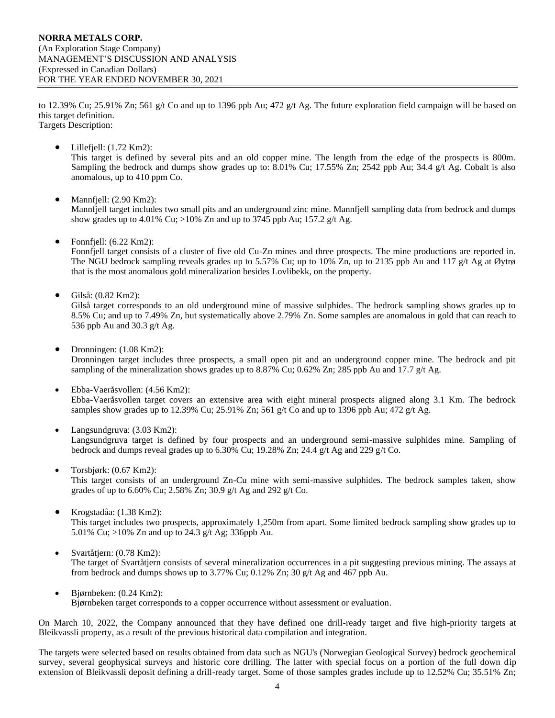to 12.39% Cu; 25.91% Zn; 561 g/t Co and up to 1396 ppb Au; 472 g/t Ag. The future exploration field campaign will be based on this target definition.

Targets Description:

 $\bullet$  Lillefjell:  $(1.72 \text{ Km2})$ :

This target is defined by several pits and an old copper mine. The length from the edge of the prospects is 800m. Sampling the bedrock and dumps show grades up to: 8.01% Cu; 17.55% Zn; 2542 ppb Au; 34.4 g/t Ag. Cobalt is also anomalous, up to 410 ppm Co.

• Mannfjell: (2.90 Km2):

Mannfjell target includes two small pits and an underground zinc mine. Mannfjell sampling data from bedrock and dumps show grades up to 4.01% Cu; >10% Zn and up to 3745 ppb Au; 157.2 g/t Ag.

• Fonnfjell: (6.22 Km2):

Fonnfjell target consists of a cluster of five old Cu-Zn mines and three prospects. The mine productions are reported in. The NGU bedrock sampling reveals grades up to 5.57% Cu; up to 10% Zn, up to 2135 ppb Au and 117 g/t Ag at Øytrø that is the most anomalous gold mineralization besides Lovlibekk, on the property.

• Gilså: (0.82 Km2):

Gilså target corresponds to an old underground mine of massive sulphides. The bedrock sampling shows grades up to 8.5% Cu; and up to 7.49% Zn, but systematically above 2.79% Zn. Some samples are anomalous in gold that can reach to 536 ppb Au and 30.3 g/t Ag.

• Dronningen: (1.08 Km2):

Dronningen target includes three prospects, a small open pit and an underground copper mine. The bedrock and pit sampling of the mineralization shows grades up to 8.87% Cu;  $0.62\%$  Zn; 285 ppb Au and 17.7 g/t Ag.

- Ebba-Vaeråsvollen: (4.56 Km2): Ebba-Vaeråsvollen target covers an extensive area with eight mineral prospects aligned along 3.1 Km. The bedrock samples show grades up to 12.39% Cu; 25.91% Zn; 561 g/t Co and up to 1396 ppb Au; 472 g/t Ag.
- Langsundgruva: (3.03 Km2): Langsundgruva target is defined by four prospects and an underground semi-massive sulphides mine. Sampling of bedrock and dumps reveal grades up to 6.30% Cu; 19.28% Zn; 24.4 g/t Ag and 229 g/t Co.
- Torsbjørk:  $(0.67 \text{ Km2})$ :

This target consists of an underground Zn-Cu mine with semi-massive sulphides. The bedrock samples taken, show grades of up to 6.60% Cu; 2.58% Zn; 30.9 g/t Ag and 292 g/t Co.

- Krogstadåa: (1.38 Km2): This target includes two prospects, approximately 1,250m from apart. Some limited bedrock sampling show grades up to 5.01% Cu; >10% Zn and up to 24.3 g/t Ag; 336ppb Au.
- Svartåtjern: (0.78 Km2): The target of Svartåtjern consists of several mineralization occurrences in a pit suggesting previous mining. The assays at from bedrock and dumps shows up to 3.77% Cu; 0.12% Zn; 30 g/t Ag and 467 ppb Au.
- Bjørnbeken: (0.24 Km2): Bjørnbeken target corresponds to a copper occurrence without assessment or evaluation.

On March 10, 2022, the Company announced that they have defined one drill-ready target and five high-priority targets at Bleikvassli property, as a result of the previous historical data compilation and integration.

The targets were selected based on results obtained from data such as NGU's (Norwegian Geological Survey) bedrock geochemical survey, several geophysical surveys and historic core drilling. The latter with special focus on a portion of the full down dip extension of Bleikvassli deposit defining a drill-ready target. Some of those samples grades include up to 12.52% Cu; 35.51% Zn;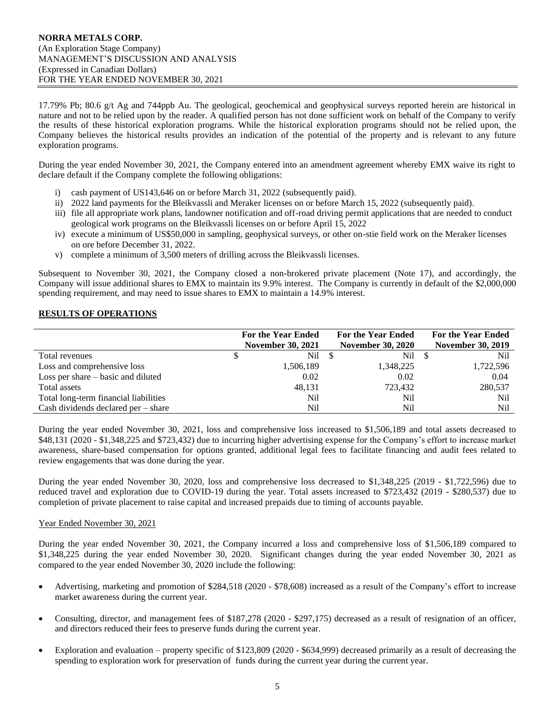17.79% Pb; 80.6 g/t Ag and 744ppb Au. The geological, geochemical and geophysical surveys reported herein are historical in nature and not to be relied upon by the reader. A qualified person has not done sufficient work on behalf of the Company to verify the results of these historical exploration programs. While the historical exploration programs should not be relied upon, the Company believes the historical results provides an indication of the potential of the property and is relevant to any future exploration programs.

During the year ended November 30, 2021, the Company entered into an amendment agreement whereby EMX waive its right to declare default if the Company complete the following obligations:

- i) cash payment of US143,646 on or before March 31, 2022 (subsequently paid).
- ii) 2022 land payments for the Bleikvassli and Meraker licenses on or before March 15, 2022 (subsequently paid).
- iii) file all appropriate work plans, landowner notification and off-road driving permit applications that are needed to conduct geological work programs on the Bleikvassli licenses on or before April 15, 2022
- iv) execute a minimum of US\$50,000 in sampling, geophysical surveys, or other on-stie field work on the Meraker licenses on ore before December 31, 2022.
- v) complete a minimum of 3,500 meters of drilling across the Bleikvassli licenses.

Subsequent to November 30, 2021, the Company closed a non-brokered private placement (Note 17), and accordingly, the Company will issue additional shares to EMX to maintain its 9.9% interest. The Company is currently in default of the \$2,000,000 spending requirement, and may need to issue shares to EMX to maintain a 14.9% interest.

## **RESULTS OF OPERATIONS**

|                                       | <b>For the Year Ended</b><br><b>November 30, 2021</b> | <b>For the Year Ended</b><br><b>November 30, 2020</b> | <b>For the Year Ended</b><br><b>November 30, 2019</b> |
|---------------------------------------|-------------------------------------------------------|-------------------------------------------------------|-------------------------------------------------------|
| Total revenues                        | Nil \$                                                | Nil                                                   | Nil                                                   |
| Loss and comprehensive loss           | 1,506,189                                             | 1,348,225                                             | 1,722,596                                             |
| Loss per share $-$ basic and diluted  | 0.02                                                  | 0.02                                                  | 0.04                                                  |
| Total assets                          | 48,131                                                | 723,432                                               | 280,537                                               |
| Total long-term financial liabilities | Nil                                                   | Nil                                                   | Nil                                                   |
| Cash dividends declared $per - share$ | Nil                                                   | Nil                                                   | Nil                                                   |

During the year ended November 30, 2021, loss and comprehensive loss increased to \$1,506,189 and total assets decreased to \$48,131 (2020 - \$1,348,225 and \$723,432) due to incurring higher advertising expense for the Company's effort to increase market awareness, share-based compensation for options granted, additional legal fees to facilitate financing and audit fees related to review engagements that was done during the year.

During the year ended November 30, 2020, loss and comprehensive loss decreased to \$1,348,225 (2019 - \$1,722,596) due to reduced travel and exploration due to COVID-19 during the year. Total assets increased to \$723,432 (2019 - \$280,537) due to completion of private placement to raise capital and increased prepaids due to timing of accounts payable.

## Year Ended November 30, 2021

During the year ended November 30, 2021, the Company incurred a loss and comprehensive loss of \$1,506,189 compared to \$1,348,225 during the year ended November 30, 2020. Significant changes during the year ended November 30, 2021 as compared to the year ended November 30, 2020 include the following:

- Advertising, marketing and promotion of \$284,518 (2020 \$78,608) increased as a result of the Company's effort to increase market awareness during the current year.
- Consulting, director, and management fees of \$187,278 (2020 \$297,175) decreased as a result of resignation of an officer, and directors reduced their fees to preserve funds during the current year.
- Exploration and evaluation property specific of \$123,809 (2020 \$634,999) decreased primarily as a result of decreasing the spending to exploration work for preservation of funds during the current year during the current year.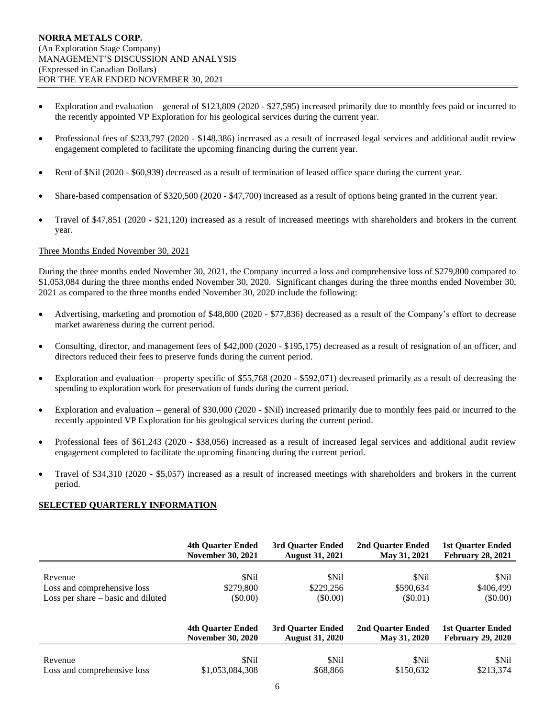- Exploration and evaluation general of \$123,809 (2020 \$27,595) increased primarily due to monthly fees paid or incurred to the recently appointed VP Exploration for his geological services during the current year.
- Professional fees of \$233,797 (2020 \$148,386) increased as a result of increased legal services and additional audit review engagement completed to facilitate the upcoming financing during the current year.
- Rent of \$Nil (2020 \$60,939) decreased as a result of termination of leased office space during the current year.
- Share-based compensation of \$320,500 (2020 \$47,700) increased as a result of options being granted in the current year.
- Travel of \$47,851 (2020 \$21,120) increased as a result of increased meetings with shareholders and brokers in the current year.

## Three Months Ended November 30, 2021

During the three months ended November 30, 2021, the Company incurred a loss and comprehensive loss of \$279,800 compared to \$1,053,084 during the three months ended November 30, 2020. Significant changes during the three months ended November 30, 2021 as compared to the three months ended November 30, 2020 include the following:

- Advertising, marketing and promotion of \$48,800 (2020 \$77,836) decreased as a result of the Company's effort to decrease market awareness during the current period.
- Consulting, director, and management fees of \$42,000 (2020 \$195,175) decreased as a result of resignation of an officer, and directors reduced their fees to preserve funds during the current period.
- Exploration and evaluation property specific of \$55,768 (2020 \$592,071) decreased primarily as a result of decreasing the spending to exploration work for preservation of funds during the current period.
- Exploration and evaluation general of \$30,000 (2020 \$Nil) increased primarily due to monthly fees paid or incurred to the recently appointed VP Exploration for his geological services during the current period.
- Professional fees of \$61,243 (2020 \$38,056) increased as a result of increased legal services and additional audit review engagement completed to facilitate the upcoming financing during the current period.
- Travel of \$34,310 (2020 \$5,057) increased as a result of increased meetings with shareholders and brokers in the current period.

## **SELECTED QUARTERLY INFORMATION**

|                                    | <b>4th Ouarter Ended</b> | 3rd Ouarter Ended      | 2nd Ouarter Ended | <b>1st Ouarter Ended</b> |
|------------------------------------|--------------------------|------------------------|-------------------|--------------------------|
|                                    | <b>November 30, 2021</b> | <b>August 31, 2021</b> | May 31, 2021      | <b>February 28, 2021</b> |
| Revenue                            | \$Nil                    | \$Nil                  | <b>SNil</b>       | \$Nil                    |
| Loss and comprehensive loss        | \$279,800                | \$229,256              | \$590,634         | \$406,499                |
| Loss per share – basic and diluted | $($ \$0.00)              | $(\$0.00)$             | (S0.01)           | $(\$0.00)$               |
|                                    | <b>4th Ouarter Ended</b> | 3rd Ouarter Ended      | 2nd Ouarter Ended | <b>1st Ouarter Ended</b> |
|                                    | <b>November 30, 2020</b> | <b>August 31, 2020</b> | May 31, 2020      | <b>February 29, 2020</b> |
| Revenue                            | \$Nil                    | \$Nil                  | <b>SNil</b>       | \$Nil                    |
| Loss and comprehensive loss        | \$1,053,084,308          | \$68,866               | \$150,632         | \$213,374                |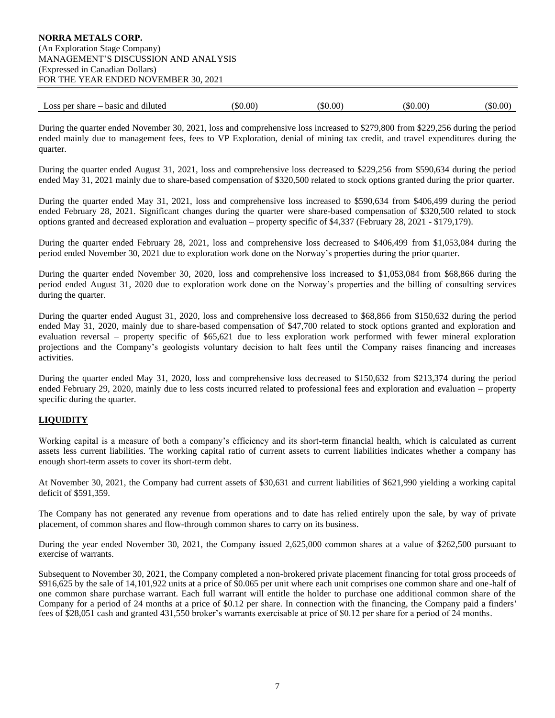## **NORRA METALS CORP.** (An Exploration Stage Company) MANAGEMENT'S DISCUSSION AND ANALYSIS (Expressed in Canadian Dollars) FOR THE YEAR ENDED NOVEMBER 30, 2021

| basic and<br>- per share<br>Loss<br>diluted | $\$0.00$ | $.00^{\circ}$<br>`\$0 | $.00^{\circ}$<br>6\$C | \$0.00 |
|---------------------------------------------|----------|-----------------------|-----------------------|--------|
|---------------------------------------------|----------|-----------------------|-----------------------|--------|

During the quarter ended November 30, 2021, loss and comprehensive loss increased to \$279,800 from \$229,256 during the period ended mainly due to management fees, fees to VP Exploration, denial of mining tax credit, and travel expenditures during the quarter.

During the quarter ended August 31, 2021, loss and comprehensive loss decreased to \$229,256 from \$590,634 during the period ended May 31, 2021 mainly due to share-based compensation of \$320,500 related to stock options granted during the prior quarter.

During the quarter ended May 31, 2021, loss and comprehensive loss increased to \$590,634 from \$406,499 during the period ended February 28, 2021. Significant changes during the quarter were share-based compensation of \$320,500 related to stock options granted and decreased exploration and evaluation – property specific of \$4,337 (February 28, 2021 - \$179,179).

During the quarter ended February 28, 2021, loss and comprehensive loss decreased to \$406,499 from \$1,053,084 during the period ended November 30, 2021 due to exploration work done on the Norway's properties during the prior quarter.

During the quarter ended November 30, 2020, loss and comprehensive loss increased to \$1,053,084 from \$68,866 during the period ended August 31, 2020 due to exploration work done on the Norway's properties and the billing of consulting services during the quarter.

During the quarter ended August 31, 2020, loss and comprehensive loss decreased to \$68,866 from \$150,632 during the period ended May 31, 2020, mainly due to share-based compensation of \$47,700 related to stock options granted and exploration and evaluation reversal – property specific of \$65,621 due to less exploration work performed with fewer mineral exploration projections and the Company's geologists voluntary decision to halt fees until the Company raises financing and increases activities.

During the quarter ended May 31, 2020, loss and comprehensive loss decreased to \$150,632 from \$213,374 during the period ended February 29, 2020, mainly due to less costs incurred related to professional fees and exploration and evaluation – property specific during the quarter.

## **LIQUIDITY**

Working capital is a measure of both a company's efficiency and its short-term financial health, which is calculated as current assets less current liabilities. The working capital ratio of current assets to current liabilities indicates whether a company has enough short-term assets to cover its short-term debt.

At November 30, 2021, the Company had current assets of \$30,631 and current liabilities of \$621,990 yielding a working capital deficit of \$591,359.

The Company has not generated any revenue from operations and to date has relied entirely upon the sale, by way of private placement, of common shares and flow-through common shares to carry on its business.

During the year ended November 30, 2021, the Company issued 2,625,000 common shares at a value of \$262,500 pursuant to exercise of warrants.

Subsequent to November 30, 2021, the Company completed a non-brokered private placement financing for total gross proceeds of \$916,625 by the sale of 14,101,922 units at a price of \$0.065 per unit where each unit comprises one common share and one-half of one common share purchase warrant. Each full warrant will entitle the holder to purchase one additional common share of the Company for a period of 24 months at a price of \$0.12 per share. In connection with the financing, the Company paid a finders' fees of \$28,051 cash and granted 431,550 broker's warrants exercisable at price of \$0.12 per share for a period of 24 months.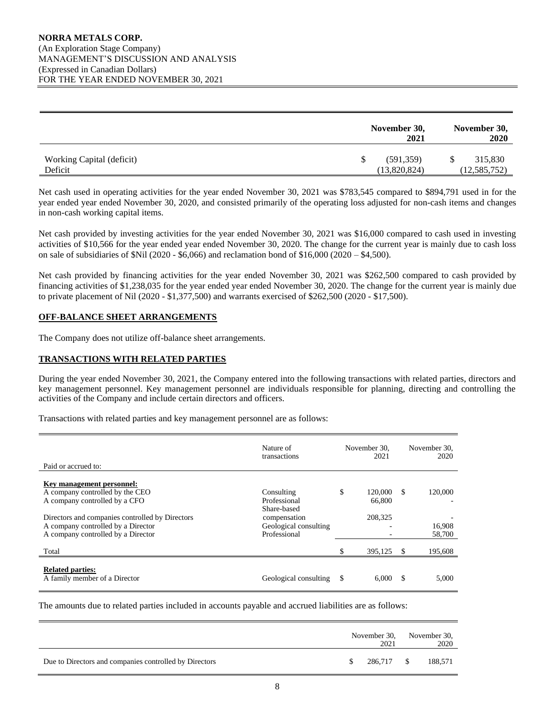|                           | November 30,<br>2021 | November 30,<br>2020 |
|---------------------------|----------------------|----------------------|
| Working Capital (deficit) | (591,359)            | 315,830              |
| Deficit                   | (13,820,824)         | (12, 585, 752)       |

Net cash used in operating activities for the year ended November 30, 2021 was \$783,545 compared to \$894,791 used in for the year ended year ended November 30, 2020, and consisted primarily of the operating loss adjusted for non-cash items and changes in non-cash working capital items.

Net cash provided by investing activities for the year ended November 30, 2021 was \$16,000 compared to cash used in investing activities of \$10,566 for the year ended year ended November 30, 2020. The change for the current year is mainly due to cash loss on sale of subsidiaries of  $Nil (2020 - $6,066)$  and reclamation bond of  $$16,000 (2020 - $4,500)$ .

Net cash provided by financing activities for the year ended November 30, 2021 was \$262,500 compared to cash provided by financing activities of \$1,238,035 for the year ended year ended November 30, 2020. The change for the current year is mainly due to private placement of Nil (2020 - \$1,377,500) and warrants exercised of \$262,500 (2020 - \$17,500).

## **OFF-BALANCE SHEET ARRANGEMENTS**

The Company does not utilize off-balance sheet arrangements.

## **TRANSACTIONS WITH RELATED PARTIES**

During the year ended November 30, 2021, the Company entered into the following transactions with related parties, directors and key management personnel. Key management personnel are individuals responsible for planning, directing and controlling the activities of the Company and include certain directors and officers.

Transactions with related parties and key management personnel are as follows:

| Paid or accrued to:                             | Nature of<br>transactions | November 30.<br>2021 |          | November 30,<br>2020 |
|-------------------------------------------------|---------------------------|----------------------|----------|----------------------|
|                                                 |                           |                      |          |                      |
| Key management personnel:                       |                           |                      |          |                      |
| A company controlled by the CEO                 | Consulting                | \$<br>120,000        | -S       | 120,000              |
| A company controlled by a CFO                   | Professional              | 66,800               |          |                      |
|                                                 | Share-based               |                      |          |                      |
| Directors and companies controlled by Directors | compensation              | 208,325              |          |                      |
| A company controlled by a Director              | Geological consulting     |                      |          | 16,908               |
| A company controlled by a Director              | Professional              |                      |          | 58,700               |
|                                                 |                           |                      |          |                      |
| Total                                           |                           | 395,125              | <b>S</b> | 195,608              |
|                                                 |                           |                      |          |                      |
| <b>Related parties:</b>                         |                           |                      |          |                      |
| A family member of a Director                   | Geological consulting     | \$<br>6.000          | S        | 5,000                |
|                                                 |                           |                      |          |                      |

The amounts due to related parties included in accounts payable and accrued liabilities are as follows:

|                                                        | November 30,<br>2021 | November 30,<br>2020 |
|--------------------------------------------------------|----------------------|----------------------|
| Due to Directors and companies controlled by Directors | 286.717 \$           | 188,571              |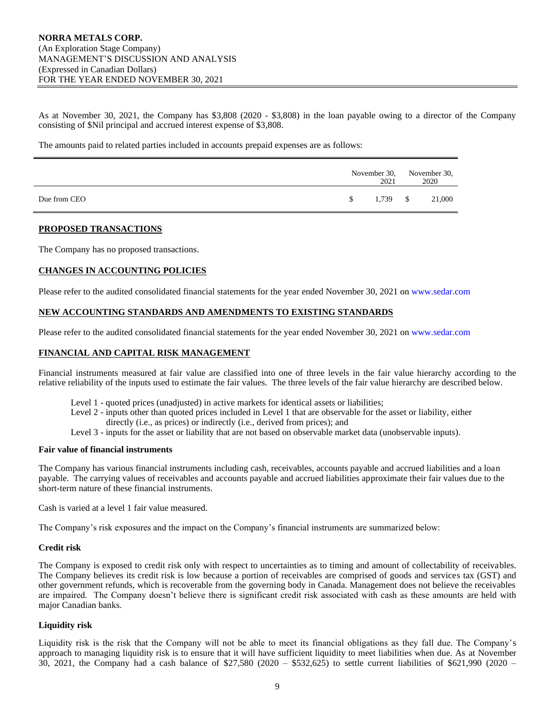As at November 30, 2021, the Company has \$3,808 (2020 - \$3,808) in the loan payable owing to a director of the Company consisting of \$Nil principal and accrued interest expense of \$3,808.

The amounts paid to related parties included in accounts prepaid expenses are as follows:

|              |    | 2021       | November 30, November 30,<br>2020 |
|--------------|----|------------|-----------------------------------|
| Due from CEO | S. | $1,739$ \$ | 21,000                            |

## **PROPOSED TRANSACTIONS**

The Company has no proposed transactions.

### **CHANGES IN ACCOUNTING POLICIES**

Please refer to the audited consolidated financial statements for the year ended November 30, 2021 on [www.sedar.com](http://www.sedar.com/)

### **NEW ACCOUNTING STANDARDS AND AMENDMENTS TO EXISTING STANDARDS**

Please refer to the audited consolidated financial statements for the year ended November 30, 2021 on [www.sedar.com](http://www.sedar.com/)

### **FINANCIAL AND CAPITAL RISK MANAGEMENT**

Financial instruments measured at fair value are classified into one of three levels in the fair value hierarchy according to the relative reliability of the inputs used to estimate the fair values. The three levels of the fair value hierarchy are described below.

- Level 1 quoted prices (unadjusted) in active markets for identical assets or liabilities;
- Level 2 inputs other than quoted prices included in Level 1 that are observable for the asset or liability, either
	- directly (i.e., as prices) or indirectly (i.e., derived from prices); and
- Level 3 inputs for the asset or liability that are not based on observable market data (unobservable inputs).

### **Fair value of financial instruments**

The Company has various financial instruments including cash, receivables, accounts payable and accrued liabilities and a loan payable. The carrying values of receivables and accounts payable and accrued liabilities approximate their fair values due to the short-term nature of these financial instruments.

Cash is varied at a level 1 fair value measured.

The Company's risk exposures and the impact on the Company's financial instruments are summarized below:

### **Credit risk**

The Company is exposed to credit risk only with respect to uncertainties as to timing and amount of collectability of receivables. The Company believes its credit risk is low because a portion of receivables are comprised of goods and services tax (GST) and other government refunds, which is recoverable from the governing body in Canada. Management does not believe the receivables are impaired. The Company doesn't believe there is significant credit risk associated with cash as these amounts are held with major Canadian banks.

### **Liquidity risk**

Liquidity risk is the risk that the Company will not be able to meet its financial obligations as they fall due. The Company's approach to managing liquidity risk is to ensure that it will have sufficient liquidity to meet liabilities when due. As at November 30, 2021, the Company had a cash balance of \$27,580 (2020 – \$532,625) to settle current liabilities of \$621,990 (2020 –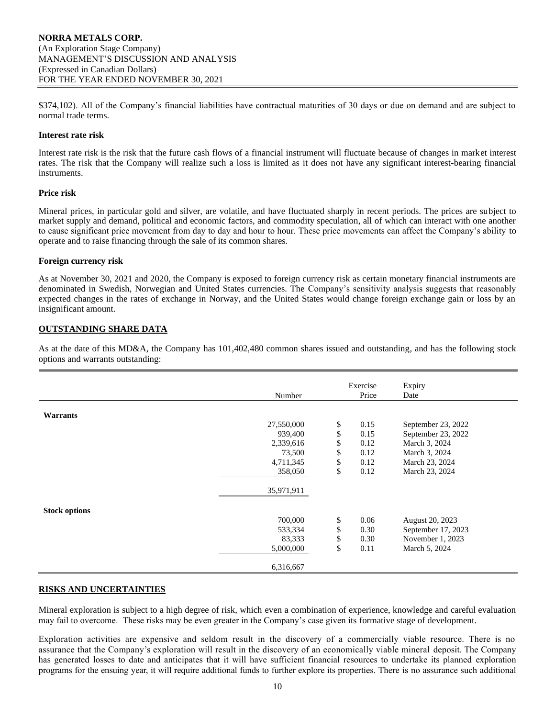\$374,102). All of the Company's financial liabilities have contractual maturities of 30 days or due on demand and are subject to normal trade terms.

### **Interest rate risk**

Interest rate risk is the risk that the future cash flows of a financial instrument will fluctuate because of changes in market interest rates. The risk that the Company will realize such a loss is limited as it does not have any significant interest-bearing financial instruments.

### **Price risk**

Mineral prices, in particular gold and silver, are volatile, and have fluctuated sharply in recent periods. The prices are subject to market supply and demand, political and economic factors, and commodity speculation, all of which can interact with one another to cause significant price movement from day to day and hour to hour. These price movements can affect the Company's ability to operate and to raise financing through the sale of its common shares.

### **Foreign currency risk**

As at November 30, 2021 and 2020, the Company is exposed to foreign currency risk as certain monetary financial instruments are denominated in Swedish, Norwegian and United States currencies. The Company's sensitivity analysis suggests that reasonably expected changes in the rates of exchange in Norway, and the United States would change foreign exchange gain or loss by an insignificant amount.

## **OUTSTANDING SHARE DATA**

As at the date of this MD&A, the Company has 101,402,480 common shares issued and outstanding, and has the following stock options and warrants outstanding:

|                      |            | Exercise   | Expiry             |
|----------------------|------------|------------|--------------------|
|                      | Number     | Price      | Date               |
|                      |            |            |                    |
| <b>Warrants</b>      |            |            |                    |
|                      | 27,550,000 | \$<br>0.15 | September 23, 2022 |
|                      | 939,400    | \$<br>0.15 | September 23, 2022 |
|                      | 2,339,616  | \$<br>0.12 | March 3, 2024      |
|                      | 73,500     | \$<br>0.12 | March 3, 2024      |
|                      | 4,711,345  | \$<br>0.12 | March 23, 2024     |
|                      | 358,050    | \$<br>0.12 | March 23, 2024     |
|                      |            |            |                    |
|                      | 35,971,911 |            |                    |
|                      |            |            |                    |
| <b>Stock options</b> |            |            |                    |
|                      | 700,000    | \$<br>0.06 | August 20, 2023    |
|                      | 533,334    | \$<br>0.30 | September 17, 2023 |
|                      | 83,333     | \$<br>0.30 | November 1, 2023   |
|                      | 5,000,000  | \$<br>0.11 | March 5, 2024      |
|                      | 6,316,667  |            |                    |

### **RISKS AND UNCERTAINTIES**

Mineral exploration is subject to a high degree of risk, which even a combination of experience, knowledge and careful evaluation may fail to overcome. These risks may be even greater in the Company's case given its formative stage of development.

Exploration activities are expensive and seldom result in the discovery of a commercially viable resource. There is no assurance that the Company's exploration will result in the discovery of an economically viable mineral deposit. The Company has generated losses to date and anticipates that it will have sufficient financial resources to undertake its planned exploration programs for the ensuing year, it will require additional funds to further explore its properties. There is no assurance such additional